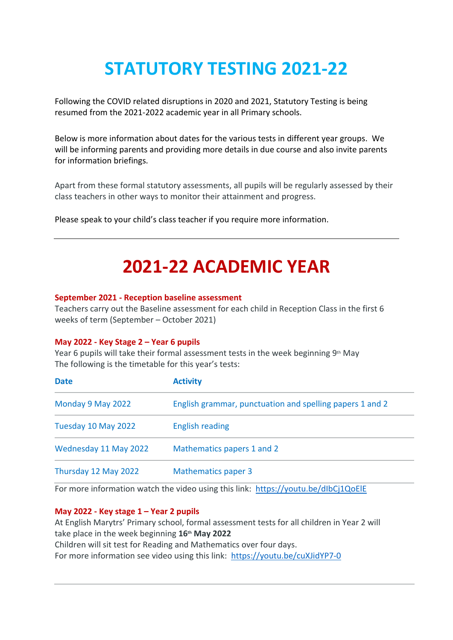# **STATUTORY TESTING 2021-22**

Following the COVID related disruptions in 2020 and 2021, Statutory Testing is being resumed from the 2021-2022 academic year in all Primary schools.

Below is more information about dates for the various tests in different year groups. We will be informing parents and providing more details in due course and also invite parents for information briefings.

Apart from these formal statutory assessments, all pupils will be regularly assessed by their class teachers in other ways to monitor their attainment and progress.

Please speak to your child's class teacher if you require more information.

# **2021-22 ACADEMIC YEAR**

# **September 2021 - Reception baseline assessment**

Teachers carry out the Baseline assessment for each child in Reception Class in the first 6 weeks of term (September – October 2021)

# **May 2022 - Key Stage 2 – Year 6 pupils**

Year 6 pupils will take their formal assessment tests in the week beginning 9<sup>th</sup> May The following is the timetable for this year's tests:

| <b>Date</b>           | <b>Activity</b>                                          |
|-----------------------|----------------------------------------------------------|
| Monday 9 May 2022     | English grammar, punctuation and spelling papers 1 and 2 |
| Tuesday 10 May 2022   | <b>English reading</b>                                   |
| Wednesday 11 May 2022 | Mathematics papers 1 and 2                               |
| Thursday 12 May 2022  | <b>Mathematics paper 3</b>                               |

For more information watch the video using this link: <https://youtu.be/dIbCj1QoElE>

# **May 2022 - Key stage 1 – Year 2 pupils**

At English Marytrs' Primary school, formal assessment tests for all children in Year 2 will take place in the week beginning **16th May 2022** Children will sit test for Reading and Mathematics over four days. For more information see video using this link: <https://youtu.be/cuXJidYP7-0>